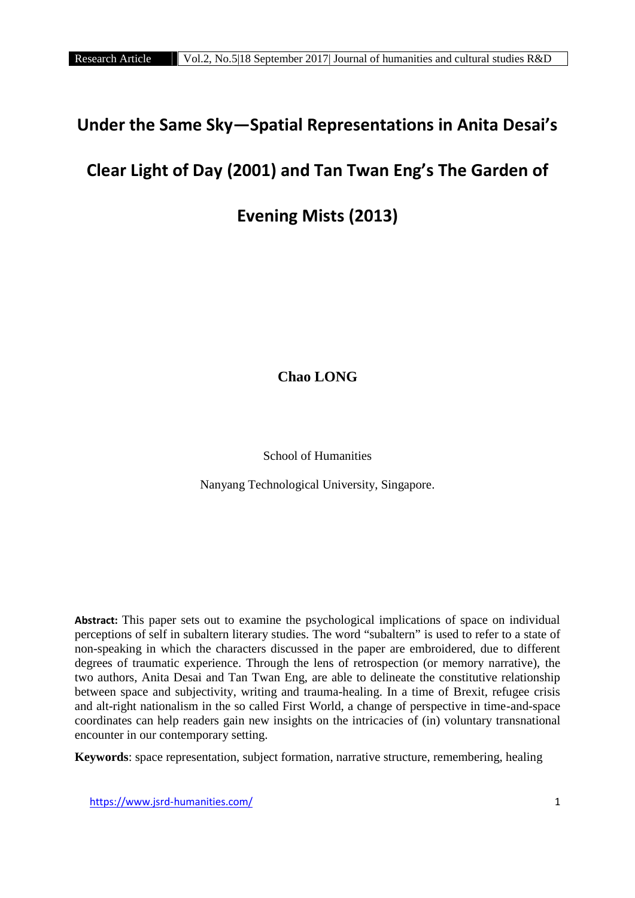# **Under the Same Sky—Spatial Representations in Anita Desai's**

# **Clear Light of Day (2001) and Tan Twan Eng's The Garden of**

# **Evening Mists (2013)**

**Chao LONG**

School of Humanities

Nanyang Technological University, Singapore.

**Abstract:** This paper sets out to examine the psychological implications of space on individual perceptions of self in subaltern literary studies. The word "subaltern" is used to refer to a state of non-speaking in which the characters discussed in the paper are embroidered, due to different degrees of traumatic experience. Through the lens of retrospection (or memory narrative), the two authors, Anita Desai and Tan Twan Eng, are able to delineate the constitutive relationship between space and subjectivity, writing and trauma-healing. In a time of Brexit, refugee crisis and alt-right nationalism in the so called First World, a change of perspective in time-and-space coordinates can help readers gain new insights on the intricacies of (in) voluntary transnational encounter in our contemporary setting.

**Keywords**: space representation, subject formation, narrative structure, remembering, healing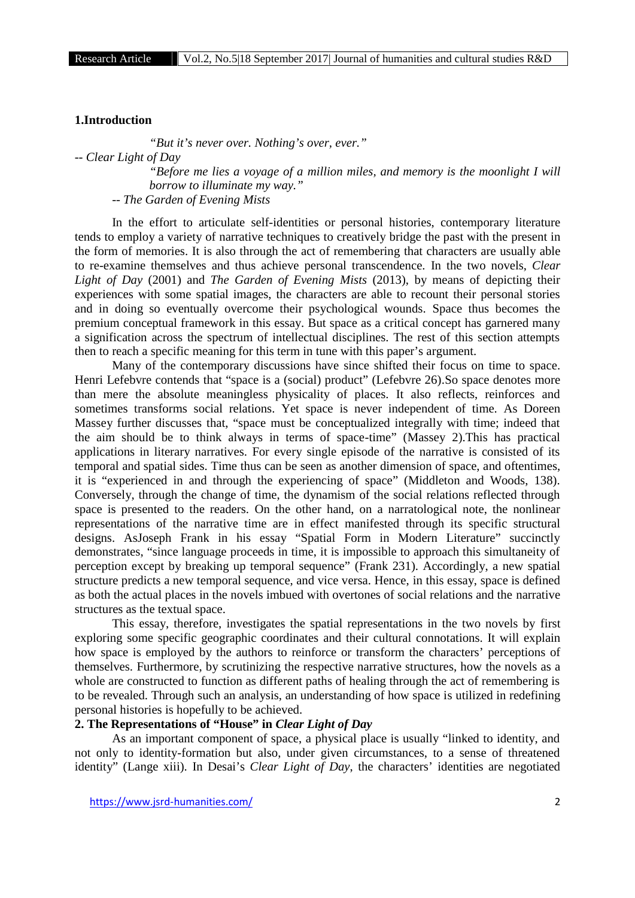#### **1.Introduction**

*"But it's never over. Nothing's over, ever."*

*-- Clear Light of Day*

*"Before me lies a voyage of a million miles, and memory is the moonlight I will borrow to illuminate my way."*

*-- The Garden of Evening Mists*

In the effort to articulate self-identities or personal histories, contemporary literature tends to employ a variety of narrative techniques to creatively bridge the past with the present in the form of memories. It is also through the act of remembering that characters are usually able to re-examine themselves and thus achieve personal transcendence. In the two novels, *Clear Light of Day* (2001) and *The Garden of Evening Mists* (2013), by means of depicting their experiences with some spatial images, the characters are able to recount their personal stories and in doing so eventually overcome their psychological wounds. Space thus becomes the premium conceptual framework in this essay. But space as a critical concept has garnered many a signification across the spectrum of intellectual disciplines. The rest of this section attempts then to reach a specific meaning for this term in tune with this paper's argument.

Many of the contemporary discussions have since shifted their focus on time to space. Henri Lefebvre contends that "space is a (social) product" (Lefebvre 26).So space denotes more than mere the absolute meaningless physicality of places. It also reflects, reinforces and sometimes transforms social relations. Yet space is never independent of time. As Doreen Massey further discusses that, "space must be conceptualized integrally with time; indeed that the aim should be to think always in terms of space-time" (Massey 2).This has practical applications in literary narratives. For every single episode of the narrative is consisted of its temporal and spatial sides. Time thus can be seen as another dimension of space, and oftentimes, it is "experienced in and through the experiencing of space" (Middleton and Woods, 138). Conversely, through the change of time, the dynamism of the social relations reflected through space is presented to the readers. On the other hand, on a narratological note, the nonlinear representations of the narrative time are in effect manifested through its specific structural designs. AsJoseph Frank in his essay "Spatial Form in Modern Literature" succinctly demonstrates, "since language proceeds in time, it is impossible to approach this simultaneity of perception except by breaking up temporal sequence" (Frank 231). Accordingly, a new spatial structure predicts a new temporal sequence, and vice versa. Hence, in this essay, space is defined as both the actual places in the novels imbued with overtones of social relations and the narrative structures as the textual space.

This essay, therefore, investigates the spatial representations in the two novels by first exploring some specific geographic coordinates and their cultural connotations. It will explain how space is employed by the authors to reinforce or transform the characters' perceptions of themselves. Furthermore, by scrutinizing the respective narrative structures, how the novels as a whole are constructed to function as different paths of healing through the act of remembering is to be revealed. Through such an analysis, an understanding of how space is utilized in redefining personal histories is hopefully to be achieved.

## **2. The Representations of "House" in** *Clear Light of Day*

As an important component of space, a physical place is usually "linked to identity, and not only to identity-formation but also, under given circumstances, to a sense of threatened identity" (Lange xiii). In Desai's *Clear Light of Day*, the characters' identities are negotiated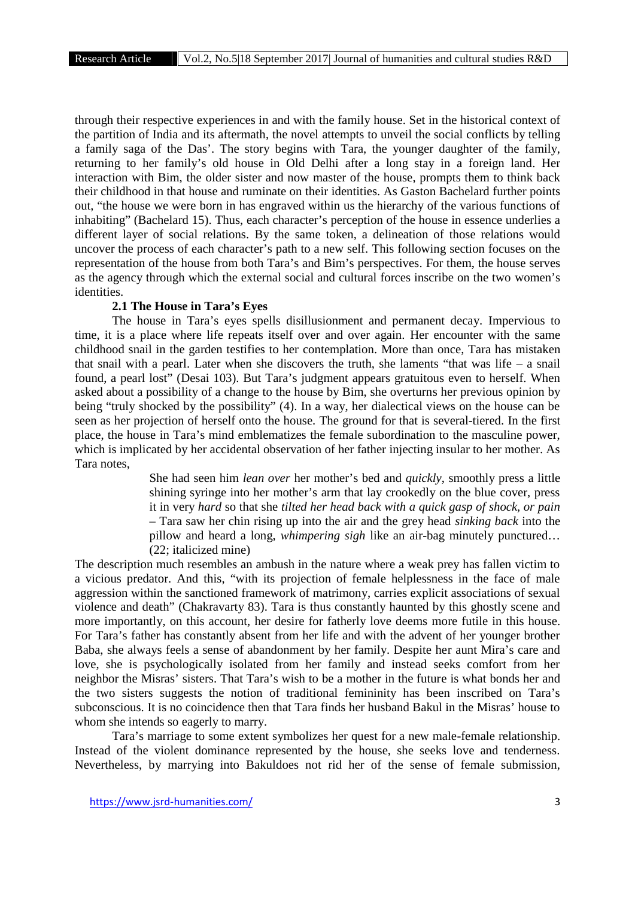through their respective experiences in and with the family house. Set in the historical context of the partition of India and its aftermath, the novel attempts to unveil the social conflicts by telling a family saga of the Das'. The story begins with Tara, the younger daughter of the family, returning to her family's old house in Old Delhi after a long stay in a foreign land. Her interaction with Bim, the older sister and now master of the house, prompts them to think back their childhood in that house and ruminate on their identities. As Gaston Bachelard further points out, "the house we were born in has engraved within us the hierarchy of the various functions of inhabiting" (Bachelard 15). Thus, each character's perception of the house in essence underlies a different layer of social relations. By the same token, a delineation of those relations would uncover the process of each character's path to a new self. This following section focuses on the representation of the house from both Tara's and Bim's perspectives. For them, the house serves as the agency through which the external social and cultural forces inscribe on the two women's identities.

#### **2.1 The House in Tara's Eyes**

The house in Tara's eyes spells disillusionment and permanent decay. Impervious to time, it is a place where life repeats itself over and over again. Her encounter with the same childhood snail in the garden testifies to her contemplation. More than once, Tara has mistaken that snail with a pearl. Later when she discovers the truth, she laments "that was life – a snail found, a pearl lost" (Desai 103). But Tara's judgment appears gratuitous even to herself. When asked about a possibility of a change to the house by Bim, she overturns her previous opinion by being "truly shocked by the possibility" (4). In a way, her dialectical views on the house can be seen as her projection of herself onto the house. The ground for that is several-tiered. In the first place, the house in Tara's mind emblematizes the female subordination to the masculine power, which is implicated by her accidental observation of her father injecting insular to her mother. As Tara notes,

> She had seen him *lean over* her mother's bed and *quickly*, smoothly press a little shining syringe into her mother's arm that lay crookedly on the blue cover, press it in very *hard* so that she *tilted her head back with a quick gasp of shock, or pain* – Tara saw her chin rising up into the air and the grey head *sinking back* into the pillow and heard a long, *whimpering sigh* like an air-bag minutely punctured… (22; italicized mine)

The description much resembles an ambush in the nature where a weak prey has fallen victim to a vicious predator. And this, "with its projection of female helplessness in the face of male aggression within the sanctioned framework of matrimony, carries explicit associations of sexual violence and death" (Chakravarty 83). Tara is thus constantly haunted by this ghostly scene and more importantly, on this account, her desire for fatherly love deems more futile in this house. For Tara's father has constantly absent from her life and with the advent of her younger brother Baba, she always feels a sense of abandonment by her family. Despite her aunt Mira's care and love, she is psychologically isolated from her family and instead seeks comfort from her neighbor the Misras' sisters. That Tara's wish to be a mother in the future is what bonds her and the two sisters suggests the notion of traditional femininity has been inscribed on Tara's subconscious. It is no coincidence then that Tara finds her husband Bakul in the Misras' house to whom she intends so eagerly to marry.

Tara's marriage to some extent symbolizes her quest for a new male-female relationship. Instead of the violent dominance represented by the house, she seeks love and tenderness. Nevertheless, by marrying into Bakuldoes not rid her of the sense of female submission,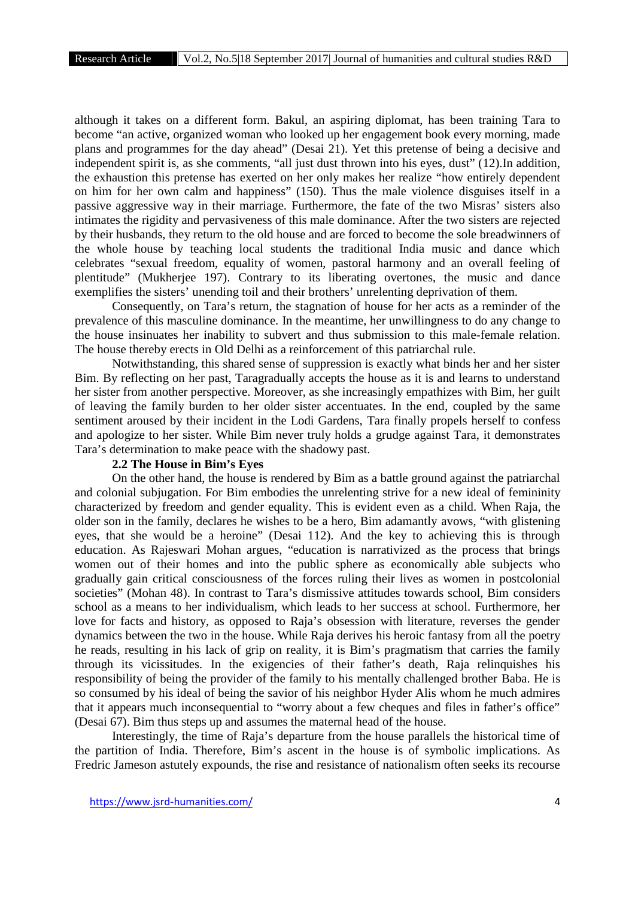although it takes on a different form. Bakul, an aspiring diplomat, has been training Tara to become "an active, organized woman who looked up her engagement book every morning, made plans and programmes for the day ahead" (Desai 21). Yet this pretense of being a decisive and independent spirit is, as she comments, "all just dust thrown into his eyes, dust" (12).In addition, the exhaustion this pretense has exerted on her only makes her realize "how entirely dependent on him for her own calm and happiness" (150). Thus the male violence disguises itself in a passive aggressive way in their marriage. Furthermore, the fate of the two Misras' sisters also intimates the rigidity and pervasiveness of this male dominance. After the two sisters are rejected by their husbands, they return to the old house and are forced to become the sole breadwinners of the whole house by teaching local students the traditional India music and dance which celebrates "sexual freedom, equality of women, pastoral harmony and an overall feeling of plentitude" (Mukherjee 197). Contrary to its liberating overtones, the music and dance exemplifies the sisters' unending toil and their brothers' unrelenting deprivation of them.

Consequently, on Tara's return, the stagnation of house for her acts as a reminder of the prevalence of this masculine dominance. In the meantime, her unwillingness to do any change to the house insinuates her inability to subvert and thus submission to this male-female relation. The house thereby erects in Old Delhi as a reinforcement of this patriarchal rule.

Notwithstanding, this shared sense of suppression is exactly what binds her and her sister Bim. By reflecting on her past, Taragradually accepts the house as it is and learns to understand her sister from another perspective. Moreover, as she increasingly empathizes with Bim, her guilt of leaving the family burden to her older sister accentuates. In the end, coupled by the same sentiment aroused by their incident in the Lodi Gardens, Tara finally propels herself to confess and apologize to her sister. While Bim never truly holds a grudge against Tara, it demonstrates Tara's determination to make peace with the shadowy past.

## **2.2 The House in Bim's Eyes**

On the other hand, the house is rendered by Bim as a battle ground against the patriarchal and colonial subjugation. For Bim embodies the unrelenting strive for a new ideal of femininity characterized by freedom and gender equality. This is evident even as a child. When Raja, the older son in the family, declares he wishes to be a hero, Bim adamantly avows, "with glistening eyes, that she would be a heroine" (Desai 112). And the key to achieving this is through education. As Rajeswari Mohan argues, "education is narrativized as the process that brings women out of their homes and into the public sphere as economically able subjects who gradually gain critical consciousness of the forces ruling their lives as women in postcolonial societies" (Mohan 48). In contrast to Tara's dismissive attitudes towards school, Bim considers school as a means to her individualism, which leads to her success at school. Furthermore, her love for facts and history, as opposed to Raja's obsession with literature, reverses the gender dynamics between the two in the house. While Raja derives his heroic fantasy from all the poetry he reads, resulting in his lack of grip on reality, it is Bim's pragmatism that carries the family through its vicissitudes. In the exigencies of their father's death, Raja relinquishes his responsibility of being the provider of the family to his mentally challenged brother Baba. He is so consumed by his ideal of being the savior of his neighbor Hyder Alis whom he much admires that it appears much inconsequential to "worry about a few cheques and files in father's office" (Desai 67). Bim thus steps up and assumes the maternal head of the house.

Interestingly, the time of Raja's departure from the house parallels the historical time of the partition of India. Therefore, Bim's ascent in the house is of symbolic implications. As Fredric Jameson astutely expounds, the rise and resistance of nationalism often seeks its recourse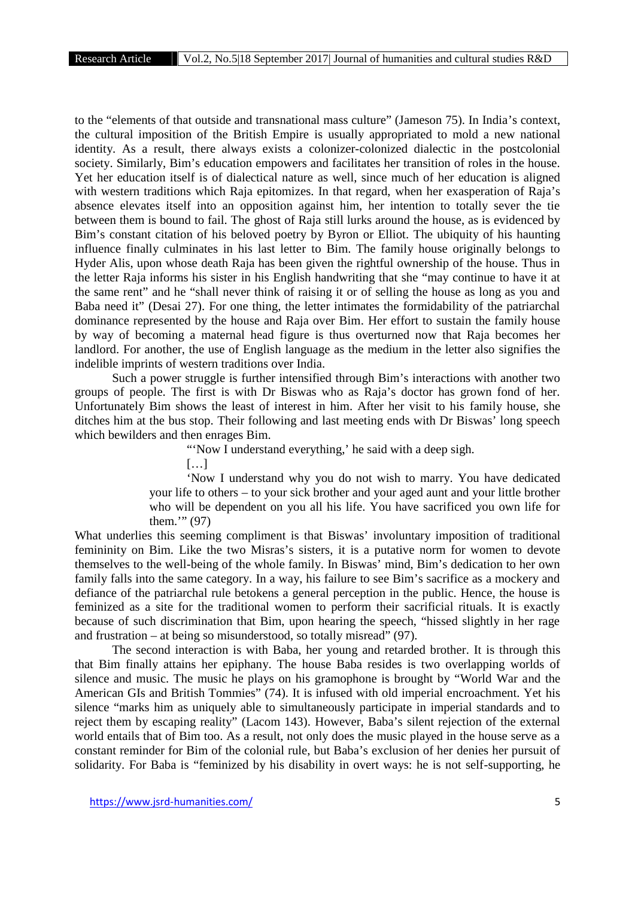to the "elements of that outside and transnational mass culture" (Jameson 75). In India's context, the cultural imposition of the British Empire is usually appropriated to mold a new national identity. As a result, there always exists a colonizer-colonized dialectic in the postcolonial society. Similarly, Bim's education empowers and facilitates her transition of roles in the house. Yet her education itself is of dialectical nature as well, since much of her education is aligned with western traditions which Raja epitomizes. In that regard, when her exasperation of Raja's absence elevates itself into an opposition against him, her intention to totally sever the tie between them is bound to fail. The ghost of Raja still lurks around the house, as is evidenced by Bim's constant citation of his beloved poetry by Byron or Elliot. The ubiquity of his haunting influence finally culminates in his last letter to Bim. The family house originally belongs to Hyder Alis, upon whose death Raja has been given the rightful ownership of the house. Thus in the letter Raja informs his sister in his English handwriting that she "may continue to have it at the same rent" and he "shall never think of raising it or of selling the house as long as you and Baba need it" (Desai 27). For one thing, the letter intimates the formidability of the patriarchal dominance represented by the house and Raja over Bim. Her effort to sustain the family house by way of becoming a maternal head figure is thus overturned now that Raja becomes her landlord. For another, the use of English language as the medium in the letter also signifies the indelible imprints of western traditions over India.

Such a power struggle is further intensified through Bim's interactions with another two groups of people. The first is with Dr Biswas who as Raja's doctor has grown fond of her. Unfortunately Bim shows the least of interest in him. After her visit to his family house, she ditches him at the bus stop. Their following and last meeting ends with Dr Biswas' long speech which bewilders and then enrages Bim.

"Now I understand everything,' he said with a deep sigh.

[…]

'Now I understand why you do not wish to marry. You have dedicated your life to others – to your sick brother and your aged aunt and your little brother who will be dependent on you all his life. You have sacrificed you own life for them.'" (97)

What underlies this seeming compliment is that Biswas' involuntary imposition of traditional femininity on Bim. Like the two Misras's sisters, it is a putative norm for women to devote themselves to the well-being of the whole family. In Biswas' mind, Bim's dedication to her own family falls into the same category. In a way, his failure to see Bim's sacrifice as a mockery and defiance of the patriarchal rule betokens a general perception in the public. Hence, the house is feminized as a site for the traditional women to perform their sacrificial rituals. It is exactly because of such discrimination that Bim, upon hearing the speech, "hissed slightly in her rage and frustration – at being so misunderstood, so totally misread" (97).

The second interaction is with Baba, her young and retarded brother. It is through this that Bim finally attains her epiphany. The house Baba resides is two overlapping worlds of silence and music. The music he plays on his gramophone is brought by "World War and the American GIs and British Tommies" (74). It is infused with old imperial encroachment. Yet his silence "marks him as uniquely able to simultaneously participate in imperial standards and to reject them by escaping reality" (Lacom 143). However, Baba's silent rejection of the external world entails that of Bim too. As a result, not only does the music played in the house serve as a constant reminder for Bim of the colonial rule, but Baba's exclusion of her denies her pursuit of solidarity. For Baba is "feminized by his disability in overt ways: he is not self-supporting, he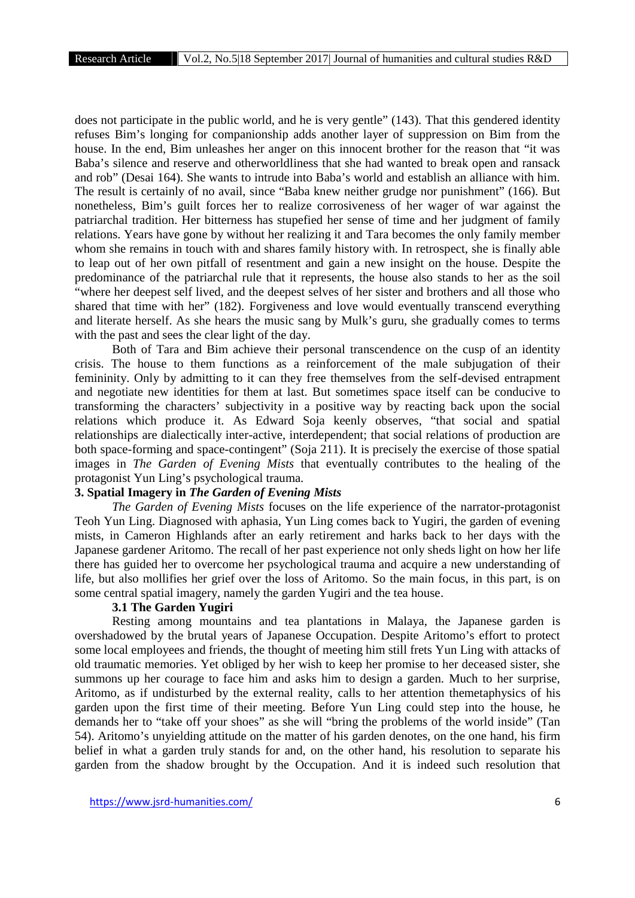does not participate in the public world, and he is very gentle" (143). That this gendered identity refuses Bim's longing for companionship adds another layer of suppression on Bim from the house. In the end, Bim unleashes her anger on this innocent brother for the reason that "it was Baba's silence and reserve and otherworldliness that she had wanted to break open and ransack and rob" (Desai 164). She wants to intrude into Baba's world and establish an alliance with him. The result is certainly of no avail, since "Baba knew neither grudge nor punishment" (166). But nonetheless, Bim's guilt forces her to realize corrosiveness of her wager of war against the patriarchal tradition. Her bitterness has stupefied her sense of time and her judgment of family relations. Years have gone by without her realizing it and Tara becomes the only family member whom she remains in touch with and shares family history with. In retrospect, she is finally able to leap out of her own pitfall of resentment and gain a new insight on the house. Despite the predominance of the patriarchal rule that it represents, the house also stands to her as the soil "where her deepest self lived, and the deepest selves of her sister and brothers and all those who shared that time with her" (182). Forgiveness and love would eventually transcend everything and literate herself. As she hears the music sang by Mulk's guru, she gradually comes to terms with the past and sees the clear light of the day.

Both of Tara and Bim achieve their personal transcendence on the cusp of an identity crisis. The house to them functions as a reinforcement of the male subjugation of their femininity. Only by admitting to it can they free themselves from the self-devised entrapment and negotiate new identities for them at last. But sometimes space itself can be conducive to transforming the characters' subjectivity in a positive way by reacting back upon the social relations which produce it. As Edward Soja keenly observes, "that social and spatial relationships are dialectically inter-active, interdependent; that social relations of production are both space-forming and space-contingent" (Soja 211). It is precisely the exercise of those spatial images in *The Garden of Evening Mists* that eventually contributes to the healing of the protagonist Yun Ling's psychological trauma.

## **3. Spatial Imagery in** *The Garden of Evening Mists*

*The Garden of Evening Mists* focuses on the life experience of the narrator-protagonist Teoh Yun Ling. Diagnosed with aphasia, Yun Ling comes back to Yugiri, the garden of evening mists, in Cameron Highlands after an early retirement and harks back to her days with the Japanese gardener Aritomo. The recall of her past experience not only sheds light on how her life there has guided her to overcome her psychological trauma and acquire a new understanding of life, but also mollifies her grief over the loss of Aritomo. So the main focus, in this part, is on some central spatial imagery, namely the garden Yugiri and the tea house.

#### **3.1 The Garden Yugiri**

Resting among mountains and tea plantations in Malaya, the Japanese garden is overshadowed by the brutal years of Japanese Occupation. Despite Aritomo's effort to protect some local employees and friends, the thought of meeting him still frets Yun Ling with attacks of old traumatic memories. Yet obliged by her wish to keep her promise to her deceased sister, she summons up her courage to face him and asks him to design a garden. Much to her surprise, Aritomo, as if undisturbed by the external reality, calls to her attention themetaphysics of his garden upon the first time of their meeting. Before Yun Ling could step into the house, he demands her to "take off your shoes" as she will "bring the problems of the world inside" (Tan 54). Aritomo's unyielding attitude on the matter of his garden denotes, on the one hand, his firm belief in what a garden truly stands for and, on the other hand, his resolution to separate his garden from the shadow brought by the Occupation. And it is indeed such resolution that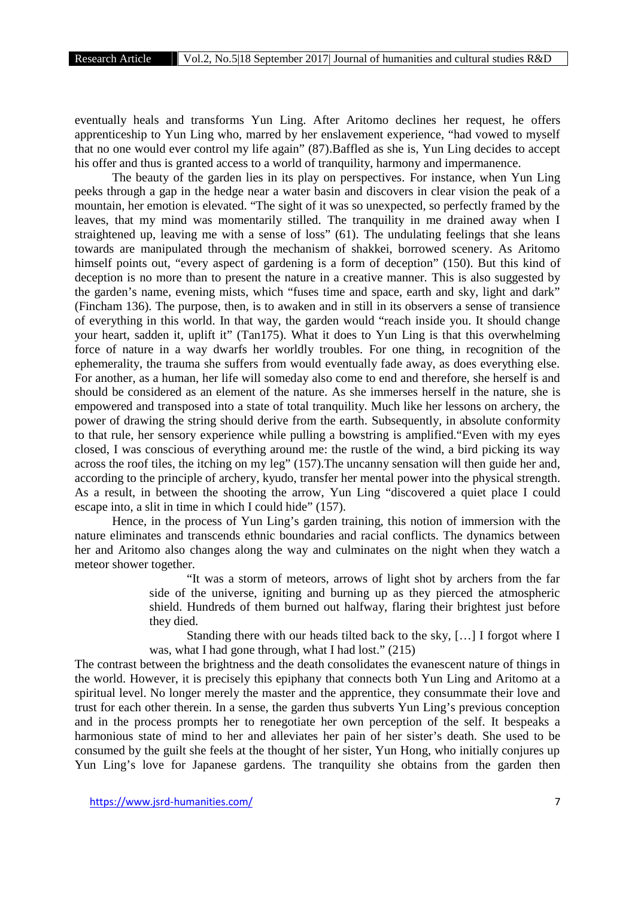eventually heals and transforms Yun Ling. After Aritomo declines her request, he offers apprenticeship to Yun Ling who, marred by her enslavement experience, "had vowed to myself that no one would ever control my life again" (87).Baffled as she is, Yun Ling decides to accept his offer and thus is granted access to a world of tranquility, harmony and impermanence.

The beauty of the garden lies in its play on perspectives. For instance, when Yun Ling peeks through a gap in the hedge near a water basin and discovers in clear vision the peak of a mountain, her emotion is elevated. "The sight of it was so unexpected, so perfectly framed by the leaves, that my mind was momentarily stilled. The tranquility in me drained away when I straightened up, leaving me with a sense of loss" (61). The undulating feelings that she leans towards are manipulated through the mechanism of shakkei, borrowed scenery. As Aritomo himself points out, "every aspect of gardening is a form of deception" (150). But this kind of deception is no more than to present the nature in a creative manner. This is also suggested by the garden's name, evening mists, which "fuses time and space, earth and sky, light and dark" (Fincham 136). The purpose, then, is to awaken and in still in its observers a sense of transience of everything in this world. In that way, the garden would "reach inside you. It should change your heart, sadden it, uplift it" (Tan175). What it does to Yun Ling is that this overwhelming force of nature in a way dwarfs her worldly troubles. For one thing, in recognition of the ephemerality, the trauma she suffers from would eventually fade away, as does everything else. For another, as a human, her life will someday also come to end and therefore, she herself is and should be considered as an element of the nature. As she immerses herself in the nature, she is empowered and transposed into a state of total tranquility. Much like her lessons on archery, the power of drawing the string should derive from the earth. Subsequently, in absolute conformity to that rule, her sensory experience while pulling a bowstring is amplified."Even with my eyes closed, I was conscious of everything around me: the rustle of the wind, a bird picking its way across the roof tiles, the itching on my leg" (157).The uncanny sensation will then guide her and, according to the principle of archery, kyudo, transfer her mental power into the physical strength. As a result, in between the shooting the arrow, Yun Ling "discovered a quiet place I could escape into, a slit in time in which I could hide" (157).

Hence, in the process of Yun Ling's garden training, this notion of immersion with the nature eliminates and transcends ethnic boundaries and racial conflicts. The dynamics between her and Aritomo also changes along the way and culminates on the night when they watch a meteor shower together.

> "It was a storm of meteors, arrows of light shot by archers from the far side of the universe, igniting and burning up as they pierced the atmospheric shield. Hundreds of them burned out halfway, flaring their brightest just before they died.

> Standing there with our heads tilted back to the sky, […] I forgot where I was, what I had gone through, what I had lost." (215)

The contrast between the brightness and the death consolidates the evanescent nature of things in the world. However, it is precisely this epiphany that connects both Yun Ling and Aritomo at a spiritual level. No longer merely the master and the apprentice, they consummate their love and trust for each other therein. In a sense, the garden thus subverts Yun Ling's previous conception and in the process prompts her to renegotiate her own perception of the self. It bespeaks a harmonious state of mind to her and alleviates her pain of her sister's death. She used to be consumed by the guilt she feels at the thought of her sister, Yun Hong, who initially conjures up Yun Ling's love for Japanese gardens. The tranquility she obtains from the garden then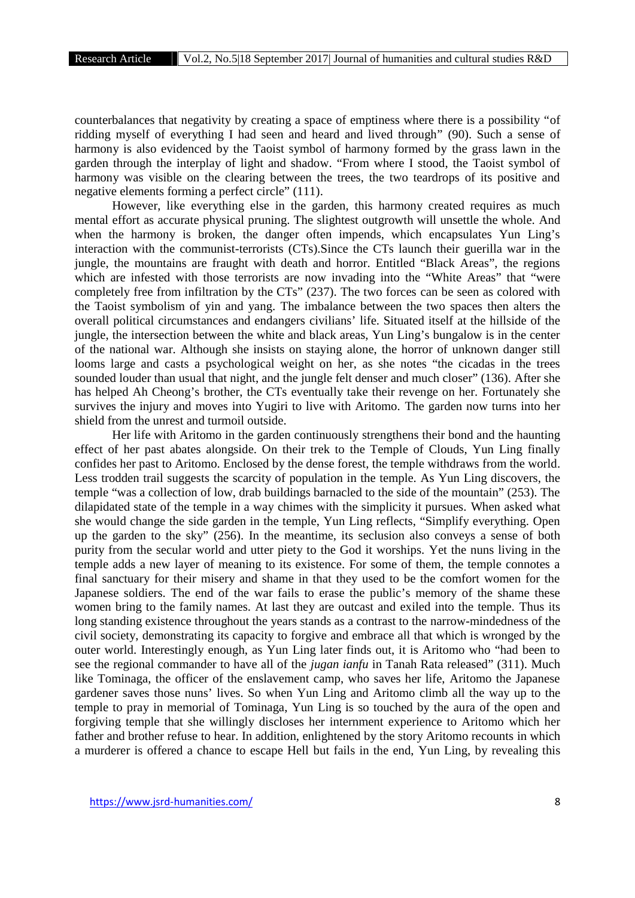counterbalances that negativity by creating a space of emptiness where there is a possibility "of ridding myself of everything I had seen and heard and lived through" (90). Such a sense of harmony is also evidenced by the Taoist symbol of harmony formed by the grass lawn in the garden through the interplay of light and shadow. "From where I stood, the Taoist symbol of harmony was visible on the clearing between the trees, the two teardrops of its positive and negative elements forming a perfect circle" (111).

However, like everything else in the garden, this harmony created requires as much mental effort as accurate physical pruning. The slightest outgrowth will unsettle the whole. And when the harmony is broken, the danger often impends, which encapsulates Yun Ling's interaction with the communist-terrorists (CTs).Since the CTs launch their guerilla war in the jungle, the mountains are fraught with death and horror. Entitled "Black Areas", the regions which are infested with those terrorists are now invading into the "White Areas" that "were completely free from infiltration by the CTs" (237). The two forces can be seen as colored with the Taoist symbolism of yin and yang. The imbalance between the two spaces then alters the overall political circumstances and endangers civilians' life. Situated itself at the hillside of the jungle, the intersection between the white and black areas, Yun Ling's bungalow is in the center of the national war. Although she insists on staying alone, the horror of unknown danger still looms large and casts a psychological weight on her, as she notes "the cicadas in the trees sounded louder than usual that night, and the jungle felt denser and much closer" (136). After she has helped Ah Cheong's brother, the CTs eventually take their revenge on her. Fortunately she survives the injury and moves into Yugiri to live with Aritomo. The garden now turns into her shield from the unrest and turmoil outside.

Her life with Aritomo in the garden continuously strengthens their bond and the haunting effect of her past abates alongside. On their trek to the Temple of Clouds, Yun Ling finally confides her past to Aritomo. Enclosed by the dense forest, the temple withdraws from the world. Less trodden trail suggests the scarcity of population in the temple. As Yun Ling discovers, the temple "was a collection of low, drab buildings barnacled to the side of the mountain" (253). The dilapidated state of the temple in a way chimes with the simplicity it pursues. When asked what she would change the side garden in the temple, Yun Ling reflects, "Simplify everything. Open up the garden to the sky" (256). In the meantime, its seclusion also conveys a sense of both purity from the secular world and utter piety to the God it worships. Yet the nuns living in the temple adds a new layer of meaning to its existence. For some of them, the temple connotes a final sanctuary for their misery and shame in that they used to be the comfort women for the Japanese soldiers. The end of the war fails to erase the public's memory of the shame these women bring to the family names. At last they are outcast and exiled into the temple. Thus its long standing existence throughout the years stands as a contrast to the narrow-mindedness of the civil society, demonstrating its capacity to forgive and embrace all that which is wronged by the outer world. Interestingly enough, as Yun Ling later finds out, it is Aritomo who "had been to see the regional commander to have all of the *jugan ianfu* in Tanah Rata released" (311). Much like Tominaga, the officer of the enslavement camp, who saves her life, Aritomo the Japanese gardener saves those nuns' lives. So when Yun Ling and Aritomo climb all the way up to the temple to pray in memorial of Tominaga, Yun Ling is so touched by the aura of the open and forgiving temple that she willingly discloses her internment experience to Aritomo which her father and brother refuse to hear. In addition, enlightened by the story Aritomo recounts in which a murderer is offered a chance to escape Hell but fails in the end, Yun Ling, by revealing this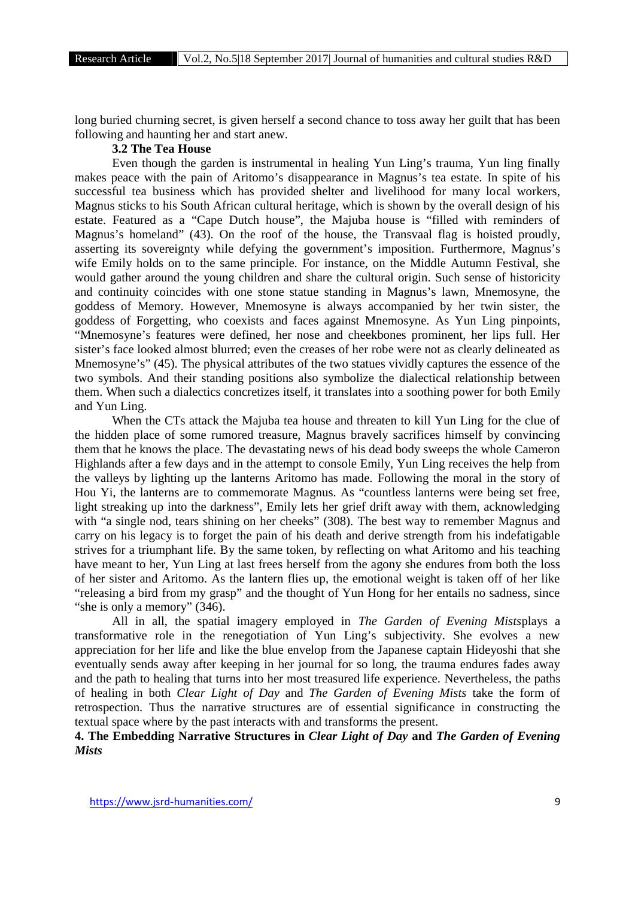long buried churning secret, is given herself a second chance to toss away her guilt that has been following and haunting her and start anew.

### **3.2 The Tea House**

Even though the garden is instrumental in healing Yun Ling's trauma, Yun ling finally makes peace with the pain of Aritomo's disappearance in Magnus's tea estate. In spite of his successful tea business which has provided shelter and livelihood for many local workers, Magnus sticks to his South African cultural heritage, which is shown by the overall design of his estate. Featured as a "Cape Dutch house", the Majuba house is "filled with reminders of Magnus's homeland" (43). On the roof of the house, the Transvaal flag is hoisted proudly, asserting its sovereignty while defying the government's imposition. Furthermore, Magnus's wife Emily holds on to the same principle. For instance, on the Middle Autumn Festival, she would gather around the young children and share the cultural origin. Such sense of historicity and continuity coincides with one stone statue standing in Magnus's lawn, Mnemosyne, the goddess of Memory. However, Mnemosyne is always accompanied by her twin sister, the goddess of Forgetting, who coexists and faces against Mnemosyne. As Yun Ling pinpoints, "Mnemosyne's features were defined, her nose and cheekbones prominent, her lips full. Her sister's face looked almost blurred; even the creases of her robe were not as clearly delineated as Mnemosyne's" (45). The physical attributes of the two statues vividly captures the essence of the two symbols. And their standing positions also symbolize the dialectical relationship between them. When such a dialectics concretizes itself, it translates into a soothing power for both Emily and Yun Ling.

When the CTs attack the Majuba tea house and threaten to kill Yun Ling for the clue of the hidden place of some rumored treasure, Magnus bravely sacrifices himself by convincing them that he knows the place. The devastating news of his dead body sweeps the whole Cameron Highlands after a few days and in the attempt to console Emily, Yun Ling receives the help from the valleys by lighting up the lanterns Aritomo has made. Following the moral in the story of Hou Yi, the lanterns are to commemorate Magnus. As "countless lanterns were being set free, light streaking up into the darkness", Emily lets her grief drift away with them, acknowledging with "a single nod, tears shining on her cheeks" (308). The best way to remember Magnus and carry on his legacy is to forget the pain of his death and derive strength from his indefatigable strives for a triumphant life. By the same token, by reflecting on what Aritomo and his teaching have meant to her, Yun Ling at last frees herself from the agony she endures from both the loss of her sister and Aritomo. As the lantern flies up, the emotional weight is taken off of her like "releasing a bird from my grasp" and the thought of Yun Hong for her entails no sadness, since "she is only a memory" (346).

All in all, the spatial imagery employed in *The Garden of Evening Mists*plays a transformative role in the renegotiation of Yun Ling's subjectivity. She evolves a new appreciation for her life and like the blue envelop from the Japanese captain Hideyoshi that she eventually sends away after keeping in her journal for so long, the trauma endures fades away and the path to healing that turns into her most treasured life experience. Nevertheless, the paths of healing in both *Clear Light of Day* and *The Garden of Evening Mists* take the form of retrospection. Thus the narrative structures are of essential significance in constructing the textual space where by the past interacts with and transforms the present.

## **4. The Embedding Narrative Structures in** *Clear Light of Day* **and** *The Garden of Evening Mists*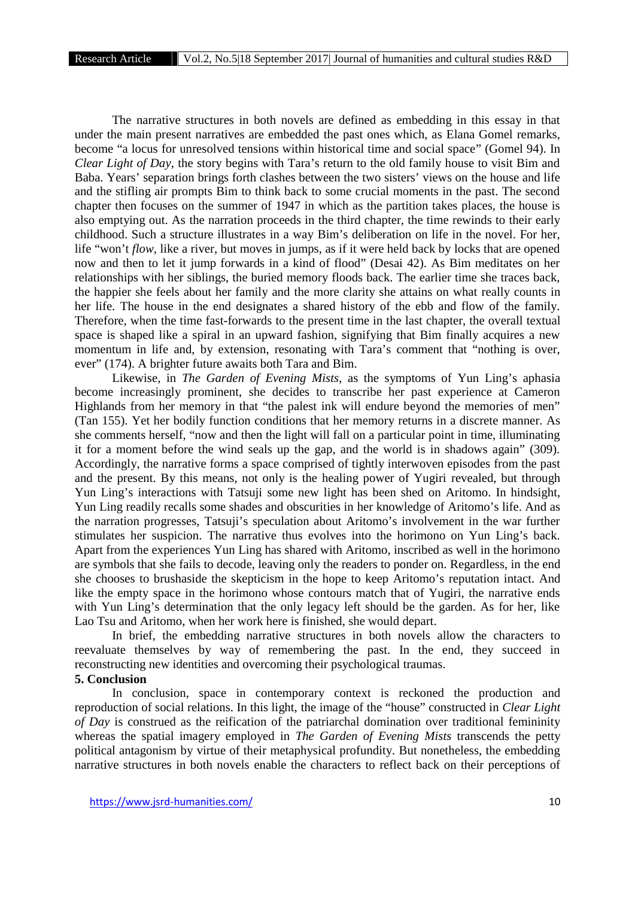The narrative structures in both novels are defined as embedding in this essay in that under the main present narratives are embedded the past ones which, as Elana Gomel remarks, become "a locus for unresolved tensions within historical time and social space" (Gomel 94). In *Clear Light of Day*, the story begins with Tara's return to the old family house to visit Bim and Baba. Years' separation brings forth clashes between the two sisters' views on the house and life and the stifling air prompts Bim to think back to some crucial moments in the past. The second chapter then focuses on the summer of 1947 in which as the partition takes places, the house is also emptying out. As the narration proceeds in the third chapter, the time rewinds to their early childhood. Such a structure illustrates in a way Bim's deliberation on life in the novel. For her, life "won't *flow*, like a river, but moves in jumps, as if it were held back by locks that are opened now and then to let it jump forwards in a kind of flood" (Desai 42). As Bim meditates on her relationships with her siblings, the buried memory floods back. The earlier time she traces back, the happier she feels about her family and the more clarity she attains on what really counts in her life. The house in the end designates a shared history of the ebb and flow of the family. Therefore, when the time fast-forwards to the present time in the last chapter, the overall textual space is shaped like a spiral in an upward fashion, signifying that Bim finally acquires a new momentum in life and, by extension, resonating with Tara's comment that "nothing is over, ever" (174). A brighter future awaits both Tara and Bim.

Likewise, in *The Garden of Evening Mists*, as the symptoms of Yun Ling's aphasia become increasingly prominent, she decides to transcribe her past experience at Cameron Highlands from her memory in that "the palest ink will endure beyond the memories of men" (Tan 155). Yet her bodily function conditions that her memory returns in a discrete manner. As she comments herself, "now and then the light will fall on a particular point in time, illuminating it for a moment before the wind seals up the gap, and the world is in shadows again" (309). Accordingly, the narrative forms a space comprised of tightly interwoven episodes from the past and the present. By this means, not only is the healing power of Yugiri revealed, but through Yun Ling's interactions with Tatsuji some new light has been shed on Aritomo. In hindsight, Yun Ling readily recalls some shades and obscurities in her knowledge of Aritomo's life. And as the narration progresses, Tatsuji's speculation about Aritomo's involvement in the war further stimulates her suspicion. The narrative thus evolves into the horimono on Yun Ling's back. Apart from the experiences Yun Ling has shared with Aritomo, inscribed as well in the horimono are symbols that she fails to decode, leaving only the readers to ponder on. Regardless, in the end she chooses to brushaside the skepticism in the hope to keep Aritomo's reputation intact. And like the empty space in the horimono whose contours match that of Yugiri, the narrative ends with Yun Ling's determination that the only legacy left should be the garden. As for her, like Lao Tsu and Aritomo, when her work here is finished, she would depart.

In brief, the embedding narrative structures in both novels allow the characters to reevaluate themselves by way of remembering the past. In the end, they succeed in reconstructing new identities and overcoming their psychological traumas.

#### **5. Conclusion**

In conclusion, space in contemporary context is reckoned the production and reproduction of social relations. In this light, the image of the "house" constructed in *Clear Light of Day* is construed as the reification of the patriarchal domination over traditional femininity whereas the spatial imagery employed in *The Garden of Evening Mists* transcends the petty political antagonism by virtue of their metaphysical profundity. But nonetheless, the embedding narrative structures in both novels enable the characters to reflect back on their perceptions of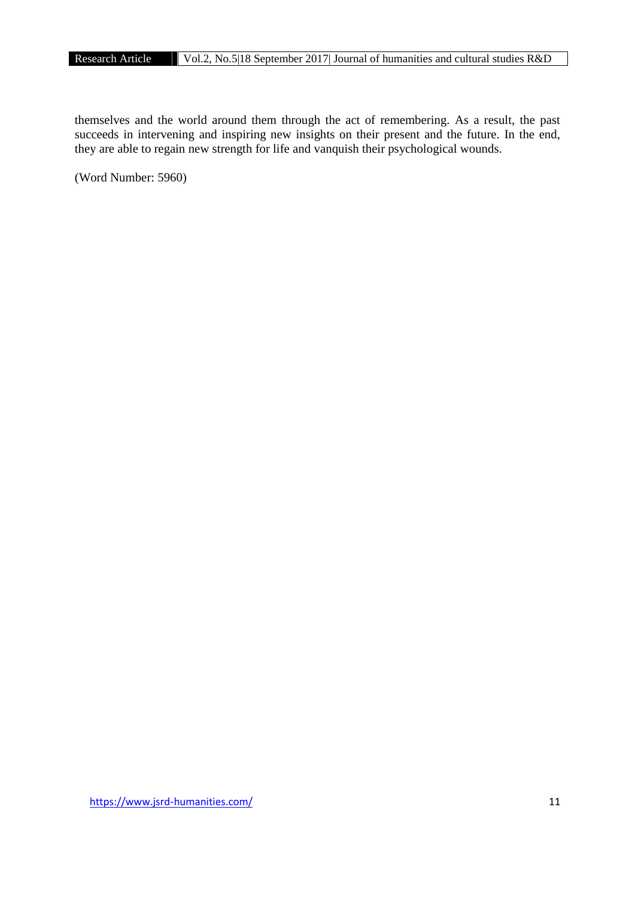themselves and the world around them through the act of remembering. As a result, the past succeeds in intervening and inspiring new insights on their present and the future. In the end, they are able to regain new strength for life and vanquish their psychological wounds.

(Word Number: 5960)